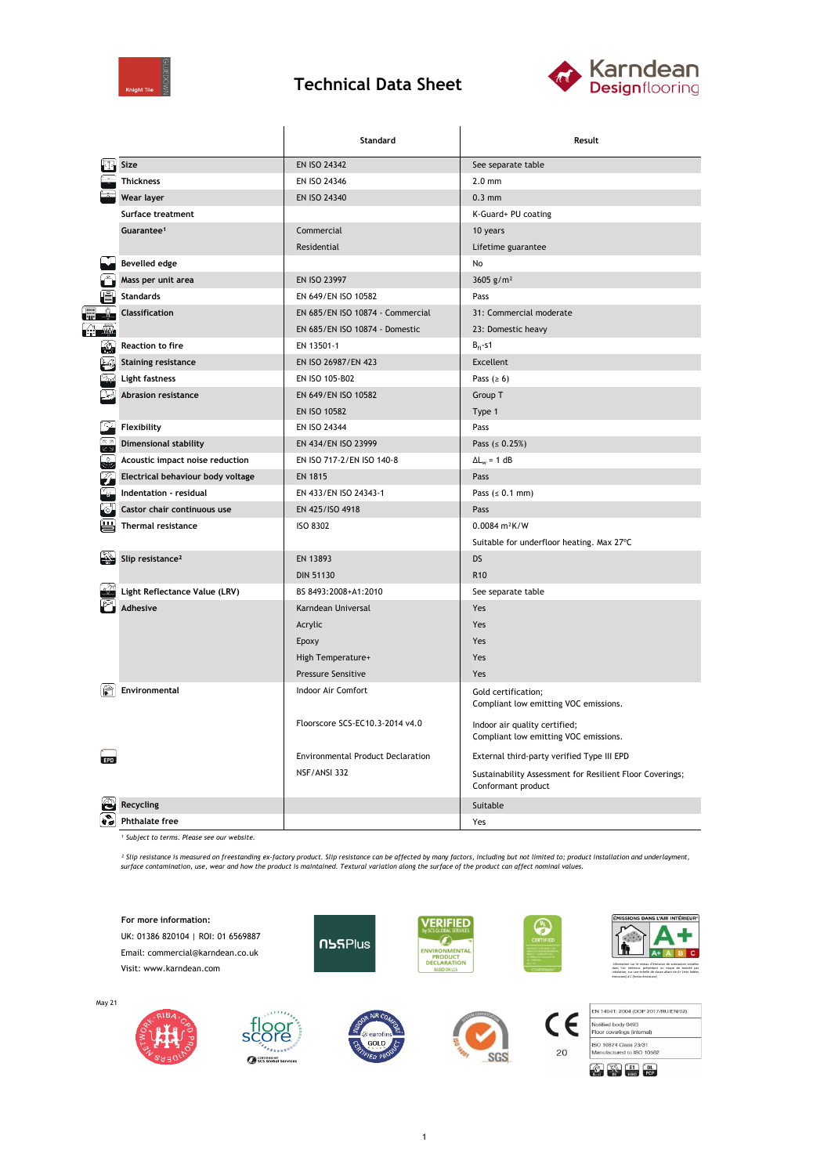

## **Technical Data Sheet**



|               |                                   | Standard                                 | Result                                                                         |  |  |
|---------------|-----------------------------------|------------------------------------------|--------------------------------------------------------------------------------|--|--|
|               | Size                              | EN ISO 24342                             | See separate table                                                             |  |  |
|               | <b>Thickness</b>                  | EN ISO 24346                             | $2.0$ mm                                                                       |  |  |
|               | Wear layer                        | EN ISO 24340                             | $0.3$ mm                                                                       |  |  |
|               | Surface treatment                 |                                          | K-Guard+ PU coating                                                            |  |  |
|               | Guarantee <sup>1</sup>            | Commercial                               | 10 years                                                                       |  |  |
|               |                                   | Residential                              | Lifetime guarantee                                                             |  |  |
|               | <b>Bevelled edge</b>              |                                          | No                                                                             |  |  |
|               | Mass per unit area                | EN ISO 23997                             | 3605 $g/m^2$                                                                   |  |  |
|               | <b>Standards</b>                  | EN 649/EN ISO 10582                      | Pass                                                                           |  |  |
|               | <b>Classification</b>             | EN 685/EN ISO 10874 - Commercial         | 31: Commercial moderate                                                        |  |  |
| Må.           |                                   | EN 685/EN ISO 10874 - Domestic           | 23: Domestic heavy                                                             |  |  |
| €             | <b>Reaction to fire</b>           | EN 13501-1                               | $B_{fl}$ -s1                                                                   |  |  |
|               | <b>Staining resistance</b>        | EN ISO 26987/EN 423                      | Excellent                                                                      |  |  |
|               | Light fastness                    | EN ISO 105-B02                           | Pass ( $\geq 6$ )                                                              |  |  |
|               | <b>Abrasion resistance</b>        | EN 649/EN ISO 10582                      | Group T                                                                        |  |  |
|               |                                   | EN ISO 10582                             | Type 1                                                                         |  |  |
|               | Flexibility                       | EN ISO 24344                             | Pass                                                                           |  |  |
| K 7           | <b>Dimensional stability</b>      | EN 434/EN ISO 23999                      | Pass ( $\leq 0.25\%$ )                                                         |  |  |
|               | Acoustic impact noise reduction   | EN ISO 717-2/EN ISO 140-8                | $\Delta L_{w} = 1 dB$                                                          |  |  |
|               | Electrical behaviour body voltage | <b>EN 1815</b>                           | Pass                                                                           |  |  |
|               | Indentation - residual            | EN 433/EN ISO 24343-1                    | Pass $(s 0.1 mm)$                                                              |  |  |
|               | Castor chair continuous use       | EN 425/ISO 4918                          | Pass                                                                           |  |  |
|               | <b>Thermal resistance</b>         | <b>ISO 8302</b>                          | $0.0084 m^2K/W$                                                                |  |  |
|               |                                   |                                          | Suitable for underfloor heating. Max 27°C                                      |  |  |
| $\frac{1}{2}$ | Slip resistance <sup>2</sup>      | EN 13893                                 | <b>DS</b>                                                                      |  |  |
|               |                                   | <b>DIN 51130</b>                         | R <sub>10</sub>                                                                |  |  |
|               | Light Reflectance Value (LRV)     | BS 8493:2008+A1:2010                     | See separate table                                                             |  |  |
|               | Adhesive                          | Karndean Universal                       | Yes                                                                            |  |  |
|               |                                   | Acrylic                                  | Yes                                                                            |  |  |
|               |                                   | Epoxy                                    | Yes                                                                            |  |  |
|               |                                   | High Temperature+                        | Yes                                                                            |  |  |
|               |                                   | Pressure Sensitive                       | Yes                                                                            |  |  |
|               | Environmental                     | Indoor Air Comfort                       | Gold certification;<br>Compliant low emitting VOC emissions.                   |  |  |
|               |                                   | Floorscore SCS-EC10.3-2014 v4.0          | Indoor air quality certified;<br>Compliant low emitting VOC emissions.         |  |  |
| FPI           |                                   | <b>Environmental Product Declaration</b> | External third-party verified Type III EPD                                     |  |  |
|               |                                   | NSF/ANSI 332                             | Sustainability Assessment for Resilient Floor Coverings;<br>Conformant product |  |  |
|               | <b>Recycling</b>                  |                                          | Suitable                                                                       |  |  |
| o s           | <b>Phthalate free</b>             |                                          | Yes                                                                            |  |  |

*¹ Subject to terms. Please see our website.*

Continue of SCS Global Services

<sup>2</sup> Slip resistance is measured on freestanding ex-factory product. Slip resistance can be affected by many factors, including but not limited to; product installation and underlayment,<br>surface contamination, use, wear and

**IS DANS L'AIR INTÉRIEUR' For more information: VERIFIED** UK: 01386 820104 | ROI: 01 6569887  $\overline{\mathcal{L}}$ **NSSPlus** ENVIRONMENTAL<br>PRODUCT<br>DECLARATION ١ħ A+ A B C Email: commercial@karndean.co.uk Visit: www.karndean.com Information sur le niveau d'émission de substances volatiles dans l'air intérieur, présentant un risque de toxicité par inhalation, sur une échelle de classe allant de A+ (très faibles émissions) à C (fortes émissions) May 21 EN 14041: 2004 (DOP 2017/RU/EN/02)  $\epsilon$ flo Notified body 0493<br>Floor coverings (internal)  $\mathbf{S}$ ISO 10874 Class 23/31<br>Manufactured to ISO 10582

1

**SGS**